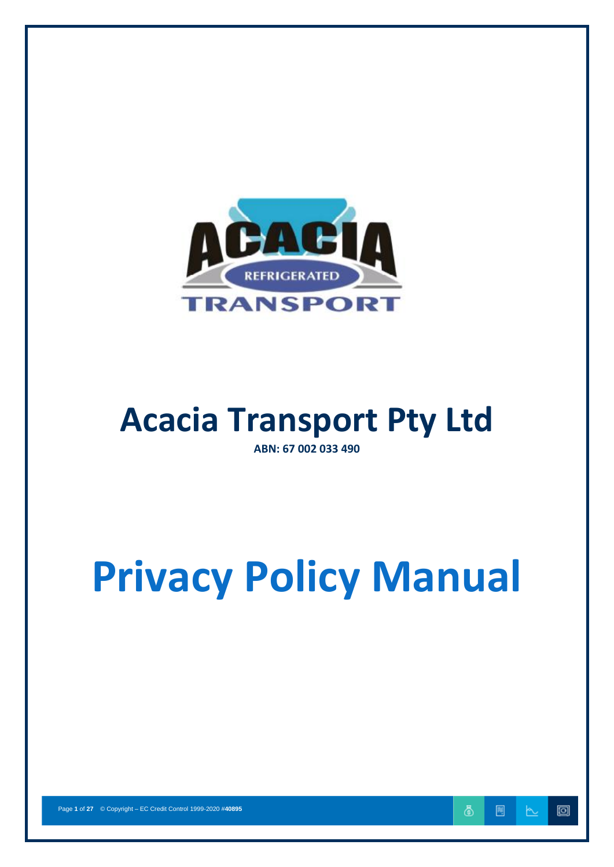

# **Acacia Transport Pty Ltd ABN: 67 002 033 490**

# **Privacy Policy Manual**

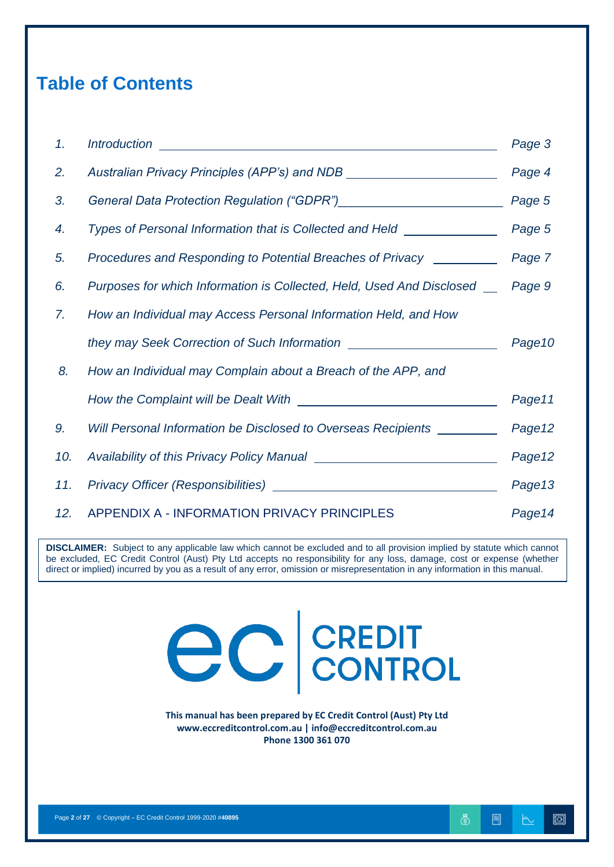# **Table of Contents**

| 1.  | <b>Introduction</b><br><u> 1980 - Jan James James Barbara, martxa a fizikar a</u>                       | Page 3  |
|-----|---------------------------------------------------------------------------------------------------------|---------|
| 2.  | Australian Privacy Principles (APP's) and NDB __________________________________                        | Page 4  |
| 3.  |                                                                                                         | Page 5  |
| 4.  | Types of Personal Information that is Collected and Held ______________                                 | Page 5  |
| 5.  | Procedures and Responding to Potential Breaches of Privacy __________                                   | Page 7  |
| 6.  | Purposes for which Information is Collected, Held, Used And Disclosed __                                | Page 9  |
| 7.  | How an Individual may Access Personal Information Held, and How                                         |         |
|     | they may Seek Correction of Such Information <b>contains the set of the contact of Such Information</b> | Page10  |
| 8.  | How an Individual may Complain about a Breach of the APP, and                                           |         |
|     |                                                                                                         | Page11  |
| 9.  | Will Personal Information be Disclosed to Overseas Recipients __________                                | Page 12 |
| 10. |                                                                                                         | Page 12 |
| 11. |                                                                                                         | Page13  |
| 12. | APPENDIX A - INFORMATION PRIVACY PRINCIPLES                                                             | Page14  |

**DISCLAIMER:** Subject to any applicable law which cannot be excluded and to all provision implied by statute which cannot be excluded, EC Credit Control (Aust) Pty Ltd accepts no responsibility for any loss, damage, cost or expense (whether direct or implied) incurred by you as a result of any error, omission or misrepresentation in any information in this manual.

**This manual has been prepared by EC Credit Control (Aust) Pty Ltd www.eccreditcontrol.com.au | info@eccreditcontrol.com.au Phone 1300 361 070**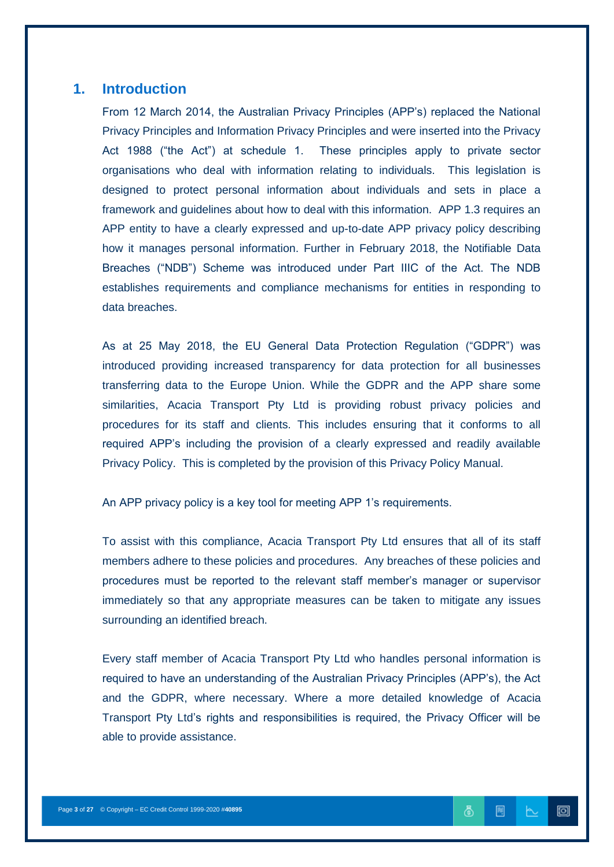# **1. Introduction**

From 12 March 2014, the Australian Privacy Principles (APP's) replaced the National Privacy Principles and Information Privacy Principles and were inserted into the Privacy Act 1988 ("the Act") at schedule 1. These principles apply to private sector organisations who deal with information relating to individuals. This legislation is designed to protect personal information about individuals and sets in place a framework and guidelines about how to deal with this information. APP 1.3 requires an APP entity to have a clearly expressed and up-to-date APP privacy policy describing how it manages personal information. Further in February 2018, the Notifiable Data Breaches ("NDB") Scheme was introduced under Part IIIC of the Act. The NDB establishes requirements and compliance mechanisms for entities in responding to data breaches.

As at 25 May 2018, the EU General Data Protection Regulation ("GDPR") was introduced providing increased transparency for data protection for all businesses transferring data to the Europe Union. While the GDPR and the APP share some similarities, Acacia Transport Pty Ltd is providing robust privacy policies and procedures for its staff and clients. This includes ensuring that it conforms to all required APP's including the provision of a clearly expressed and readily available Privacy Policy. This is completed by the provision of this Privacy Policy Manual.

An APP privacy policy is a key tool for meeting APP 1's requirements.

To assist with this compliance, Acacia Transport Pty Ltd ensures that all of its staff members adhere to these policies and procedures. Any breaches of these policies and procedures must be reported to the relevant staff member's manager or supervisor immediately so that any appropriate measures can be taken to mitigate any issues surrounding an identified breach.

Every staff member of Acacia Transport Pty Ltd who handles personal information is required to have an understanding of the Australian Privacy Principles (APP's), the Act and the GDPR, where necessary. Where a more detailed knowledge of Acacia Transport Pty Ltd's rights and responsibilities is required, the Privacy Officer will be able to provide assistance.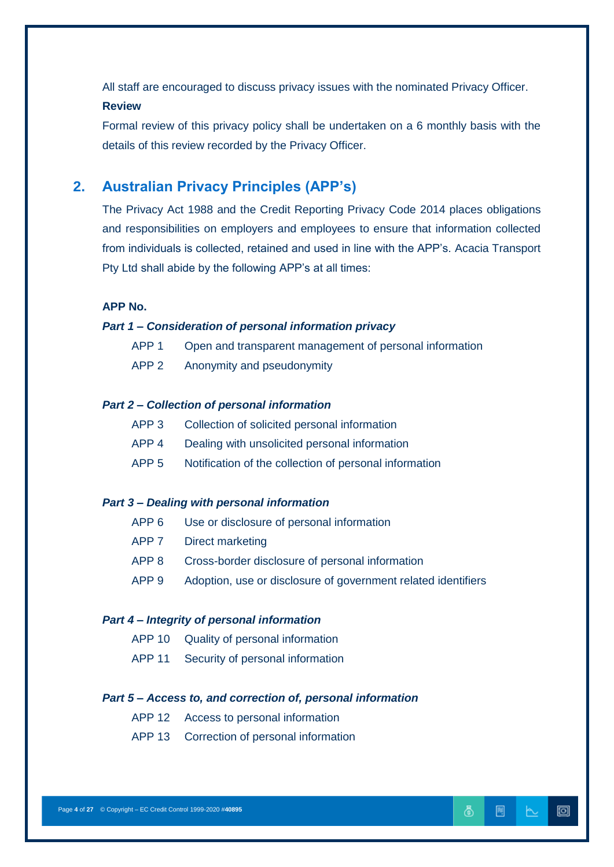All staff are encouraged to discuss privacy issues with the nominated Privacy Officer. **Review**

Formal review of this privacy policy shall be undertaken on a 6 monthly basis with the details of this review recorded by the Privacy Officer.

# **2. Australian Privacy Principles (APP's)**

The Privacy Act 1988 and the Credit Reporting Privacy Code 2014 places obligations and responsibilities on employers and employees to ensure that information collected from individuals is collected, retained and used in line with the APP's. Acacia Transport Pty Ltd shall abide by the following APP's at all times:

#### **APP No.**

### *Part 1 – Consideration of personal information privacy*

- APP 1 Open and transparent management of personal information
- APP 2 Anonymity and pseudonymity

#### *Part 2 – Collection of personal information*

- APP 3 Collection of solicited personal information
- APP 4 Dealing with unsolicited personal information
- APP 5 Notification of the collection of personal information

#### *Part 3 – Dealing with personal information*

- APP 6 Use or disclosure of personal information
- APP 7 Direct marketing
- APP 8 Cross-border disclosure of personal information
- APP 9 Adoption, use or disclosure of government related identifiers

#### *Part 4 – Integrity of personal information*

- APP 10 Quality of personal information
- APP 11 Security of personal information

#### *Part 5 – Access to, and correction of, personal information*

- APP 12 Access to personal information
- APP 13 Correction of personal information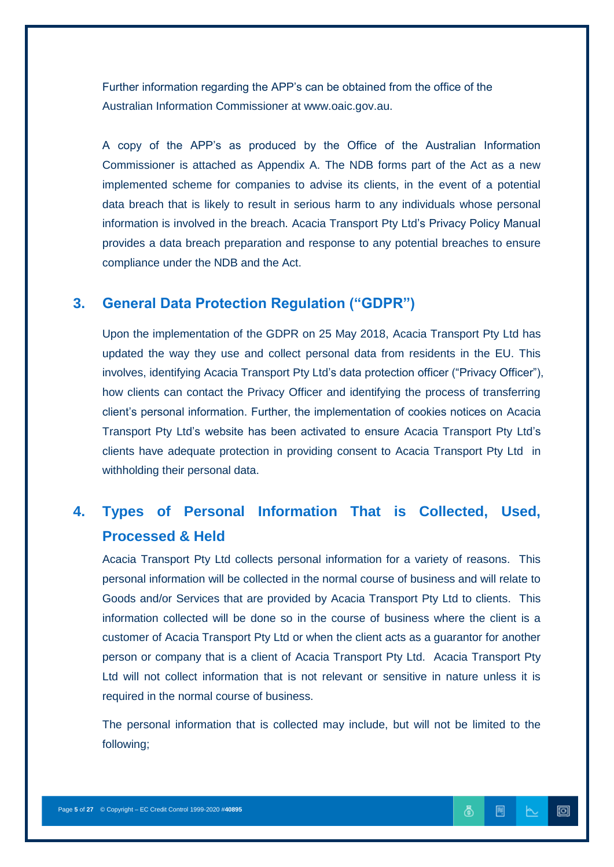Further information regarding the APP's can be obtained from the office of the Australian Information Commissioner at www.oaic.gov.au.

A copy of the APP's as produced by the Office of the Australian Information Commissioner is attached as Appendix A. The NDB forms part of the Act as a new implemented scheme for companies to advise its clients, in the event of a potential data breach that is likely to result in serious harm to any individuals whose personal information is involved in the breach. Acacia Transport Pty Ltd's Privacy Policy Manual provides a data breach preparation and response to any potential breaches to ensure compliance under the NDB and the Act.

## **3. General Data Protection Regulation ("GDPR")**

Upon the implementation of the GDPR on 25 May 2018, Acacia Transport Pty Ltd has updated the way they use and collect personal data from residents in the EU. This involves, identifying Acacia Transport Pty Ltd's data protection officer ("Privacy Officer"), how clients can contact the Privacy Officer and identifying the process of transferring client's personal information. Further, the implementation of cookies notices on Acacia Transport Pty Ltd's website has been activated to ensure Acacia Transport Pty Ltd's clients have adequate protection in providing consent to Acacia Transport Pty Ltd in withholding their personal data.

# **4. Types of Personal Information That is Collected, Used, Processed & Held**

Acacia Transport Pty Ltd collects personal information for a variety of reasons. This personal information will be collected in the normal course of business and will relate to Goods and/or Services that are provided by Acacia Transport Pty Ltd to clients. This information collected will be done so in the course of business where the client is a customer of Acacia Transport Pty Ltd or when the client acts as a guarantor for another person or company that is a client of Acacia Transport Pty Ltd. Acacia Transport Pty Ltd will not collect information that is not relevant or sensitive in nature unless it is required in the normal course of business.

The personal information that is collected may include, but will not be limited to the following;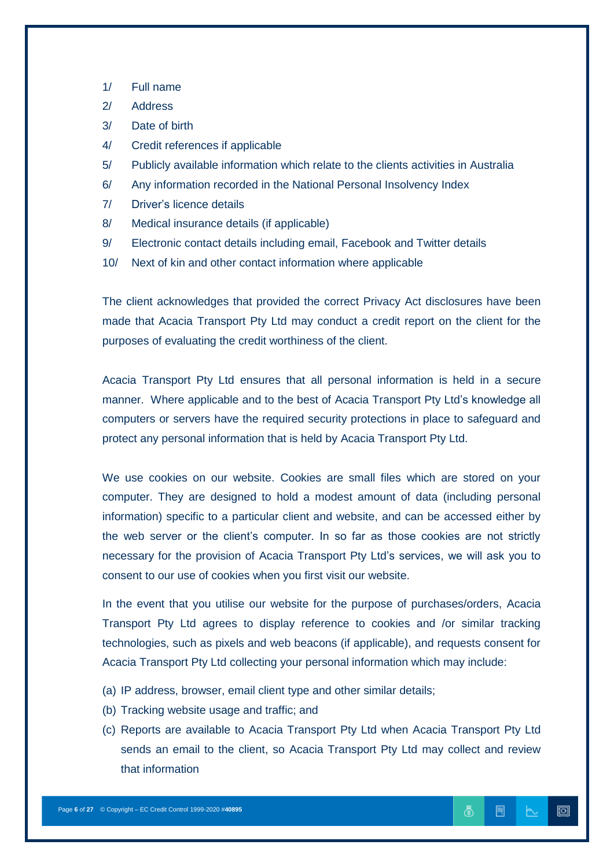- 1/ Full name
- 2/ Address
- 3/ Date of birth
- 4/ Credit references if applicable
- 5/ Publicly available information which relate to the clients activities in Australia
- 6/ Any information recorded in the National Personal Insolvency Index
- 7/ Driver's licence details
- 8/ Medical insurance details (if applicable)
- 9/ Electronic contact details including email, Facebook and Twitter details
- 10/ Next of kin and other contact information where applicable

The client acknowledges that provided the correct Privacy Act disclosures have been made that Acacia Transport Pty Ltd may conduct a credit report on the client for the purposes of evaluating the credit worthiness of the client.

Acacia Transport Pty Ltd ensures that all personal information is held in a secure manner. Where applicable and to the best of Acacia Transport Pty Ltd's knowledge all computers or servers have the required security protections in place to safeguard and protect any personal information that is held by Acacia Transport Pty Ltd.

We use cookies on our website. Cookies are small files which are stored on your computer. They are designed to hold a modest amount of data (including personal information) specific to a particular client and website, and can be accessed either by the web server or the client's computer. In so far as those cookies are not strictly necessary for the provision of Acacia Transport Pty Ltd's services, we will ask you to consent to our use of cookies when you first visit our website.

In the event that you utilise our website for the purpose of purchases/orders, Acacia Transport Pty Ltd agrees to display reference to cookies and /or similar tracking technologies, such as pixels and web beacons (if applicable), and requests consent for Acacia Transport Pty Ltd collecting your personal information which may include:

- (a) IP address, browser, email client type and other similar details;
- (b) Tracking website usage and traffic; and
- (c) Reports are available to Acacia Transport Pty Ltd when Acacia Transport Pty Ltd sends an email to the client, so Acacia Transport Pty Ltd may collect and review that information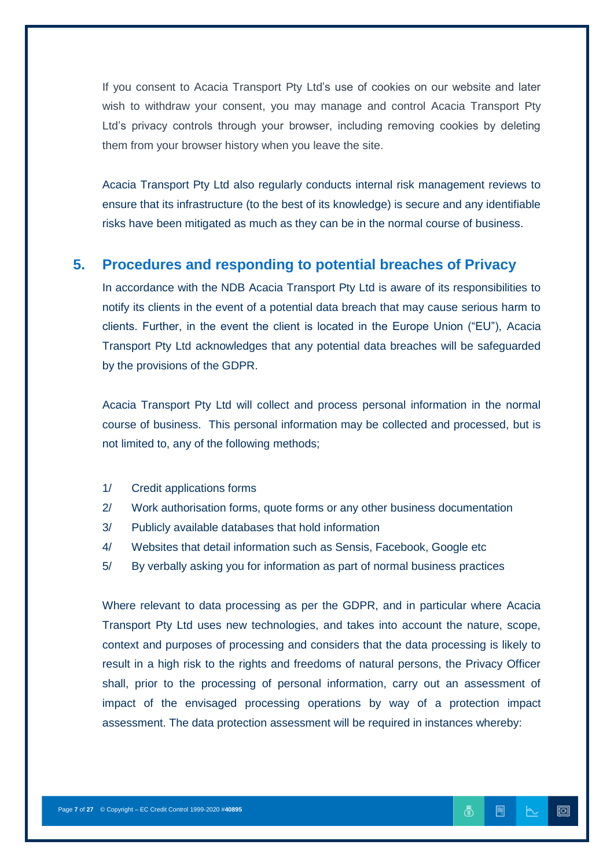If you consent to Acacia Transport Pty Ltd's use of cookies on our website and later wish to withdraw your consent, you may manage and control Acacia Transport Pty Ltd's privacy controls through your browser, including removing cookies by deleting them from your browser history when you leave the site.

Acacia Transport Pty Ltd also regularly conducts internal risk management reviews to ensure that its infrastructure (to the best of its knowledge) is secure and any identifiable risks have been mitigated as much as they can be in the normal course of business.

## **5. Procedures and responding to potential breaches of Privacy**

In accordance with the NDB Acacia Transport Pty Ltd is aware of its responsibilities to notify its clients in the event of a potential data breach that may cause serious harm to clients. Further, in the event the client is located in the Europe Union ("EU"), Acacia Transport Pty Ltd acknowledges that any potential data breaches will be safeguarded by the provisions of the GDPR.

Acacia Transport Pty Ltd will collect and process personal information in the normal course of business. This personal information may be collected and processed, but is not limited to, any of the following methods;

- 1/ Credit applications forms
- 2/ Work authorisation forms, quote forms or any other business documentation
- 3/ Publicly available databases that hold information
- 4/ Websites that detail information such as Sensis, Facebook, Google etc
- 5/ By verbally asking you for information as part of normal business practices

Where relevant to data processing as per the GDPR, and in particular where Acacia Transport Pty Ltd uses new technologies, and takes into account the nature, scope, context and purposes of processing and considers that the data processing is likely to result in a high risk to the rights and freedoms of natural persons, the Privacy Officer shall, prior to the processing of personal information, carry out an assessment of impact of the envisaged processing operations by way of a protection impact assessment. The data protection assessment will be required in instances whereby: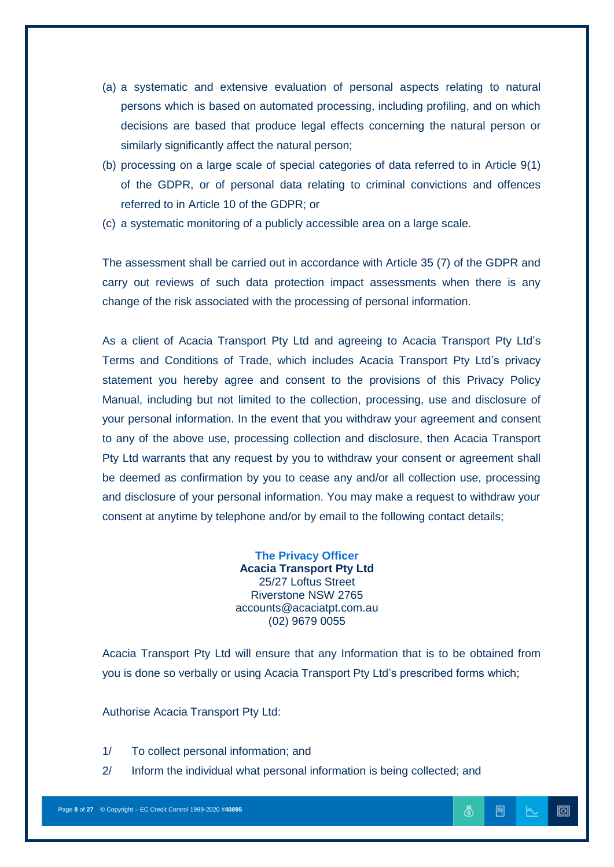- (a) a systematic and extensive evaluation of personal aspects relating to natural persons which is based on automated processing, including profiling, and on which decisions are based that produce legal effects concerning the natural person or similarly significantly affect the natural person;
- (b) processing on a large scale of special categories of data referred to in [Article 9\(](https://gdpr-info.eu/art-9-gdpr/)1) of the GDPR, or of personal data relating to criminal convictions and offences referred to in [Article 10](https://gdpr-info.eu/art-10-gdpr/) of the GDPR; or
- (c) a systematic monitoring of a publicly accessible area on a large scale.

The assessment shall be carried out in accordance with Article 35 (7) of the GDPR and carry out reviews of such data protection impact assessments when there is any change of the risk associated with the processing of personal information.

As a client of Acacia Transport Pty Ltd and agreeing to Acacia Transport Pty Ltd's Terms and Conditions of Trade, which includes Acacia Transport Pty Ltd's privacy statement you hereby agree and consent to the provisions of this Privacy Policy Manual, including but not limited to the collection, processing, use and disclosure of your personal information. In the event that you withdraw your agreement and consent to any of the above use, processing collection and disclosure, then Acacia Transport Pty Ltd warrants that any request by you to withdraw your consent or agreement shall be deemed as confirmation by you to cease any and/or all collection use, processing and disclosure of your personal information. You may make a request to withdraw your consent at anytime by telephone and/or by email to the following contact details;

> **The Privacy Officer Acacia Transport Pty Ltd** 25/27 Loftus Street Riverstone NSW 2765 accounts@acaciatpt.com.au (02) 9679 0055

Acacia Transport Pty Ltd will ensure that any Information that is to be obtained from you is done so verbally or using Acacia Transport Pty Ltd's prescribed forms which;

Authorise Acacia Transport Pty Ltd:

- 1/ To collect personal information; and
- 2/ Inform the individual what personal information is being collected; and

ේ 闁 o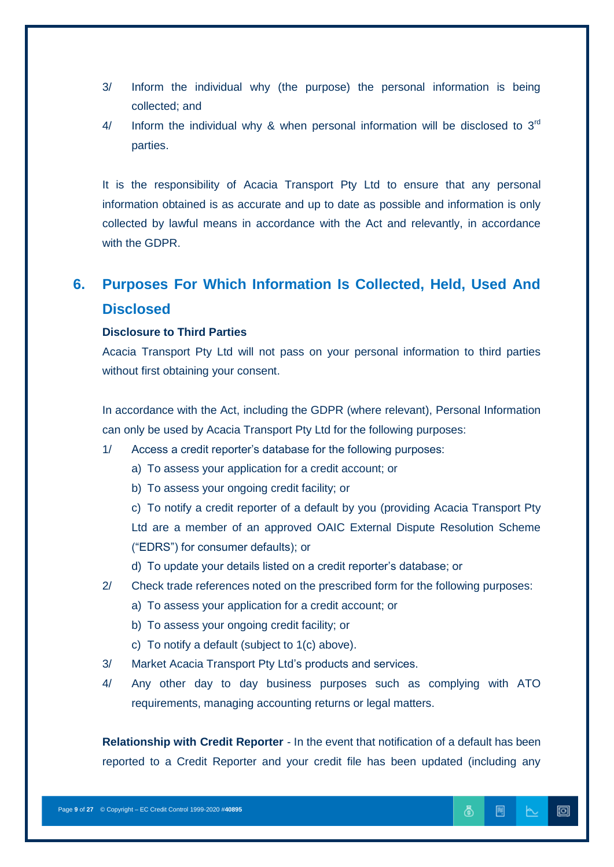- 3/ Inform the individual why (the purpose) the personal information is being collected; and
- 4/ Inform the individual why & when personal information will be disclosed to  $3<sup>rd</sup>$ parties.

It is the responsibility of Acacia Transport Pty Ltd to ensure that any personal information obtained is as accurate and up to date as possible and information is only collected by lawful means in accordance with the Act and relevantly, in accordance with the GDPR.

# **6. Purposes For Which Information Is Collected, Held, Used And Disclosed**

#### **Disclosure to Third Parties**

Acacia Transport Pty Ltd will not pass on your personal information to third parties without first obtaining your consent.

In accordance with the Act, including the GDPR (where relevant), Personal Information can only be used by Acacia Transport Pty Ltd for the following purposes:

- 1/ Access a credit reporter's database for the following purposes:
	- a) To assess your application for a credit account; or
	- b) To assess your ongoing credit facility; or

c) To notify a credit reporter of a default by you (providing Acacia Transport Pty Ltd are a member of an approved OAIC External Dispute Resolution Scheme ("EDRS") for consumer defaults); or

- d) To update your details listed on a credit reporter's database; or
- 2/ Check trade references noted on the prescribed form for the following purposes:
	- a) To assess your application for a credit account; or
	- b) To assess your ongoing credit facility; or
	- c) To notify a default (subject to 1(c) above).
- 3/ Market Acacia Transport Pty Ltd's products and services.
- 4/ Any other day to day business purposes such as complying with ATO requirements, managing accounting returns or legal matters.

**Relationship with Credit Reporter** - In the event that notification of a default has been reported to a Credit Reporter and your credit file has been updated (including any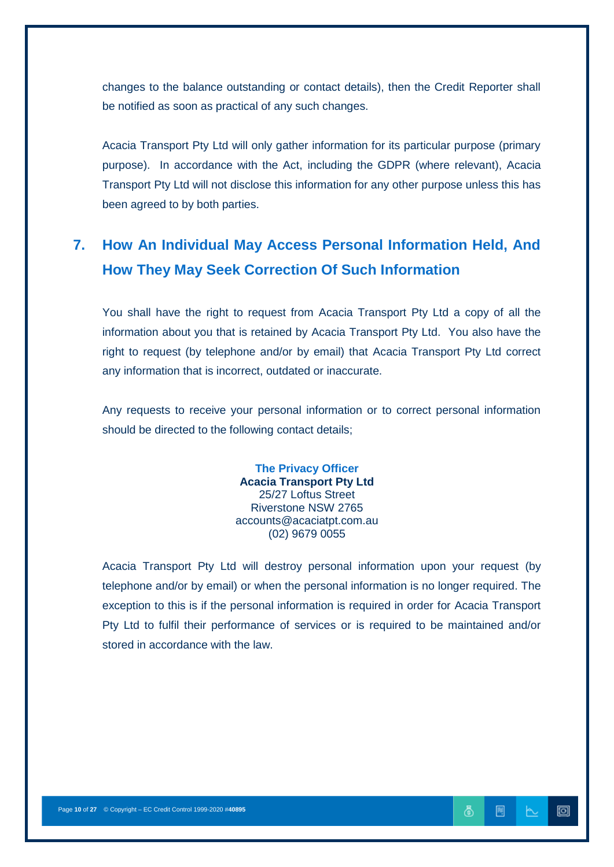changes to the balance outstanding or contact details), then the Credit Reporter shall be notified as soon as practical of any such changes.

Acacia Transport Pty Ltd will only gather information for its particular purpose (primary purpose). In accordance with the Act, including the GDPR (where relevant), Acacia Transport Pty Ltd will not disclose this information for any other purpose unless this has been agreed to by both parties.

# **7. How An Individual May Access Personal Information Held, And How They May Seek Correction Of Such Information**

You shall have the right to request from Acacia Transport Pty Ltd a copy of all the information about you that is retained by Acacia Transport Pty Ltd. You also have the right to request (by telephone and/or by email) that Acacia Transport Pty Ltd correct any information that is incorrect, outdated or inaccurate.

Any requests to receive your personal information or to correct personal information should be directed to the following contact details;

> **The Privacy Officer Acacia Transport Pty Ltd** 25/27 Loftus Street Riverstone NSW 2765 accounts@acaciatpt.com.au (02) 9679 0055

Acacia Transport Pty Ltd will destroy personal information upon your request (by telephone and/or by email) or when the personal information is no longer required. The exception to this is if the personal information is required in order for Acacia Transport Pty Ltd to fulfil their performance of services or is required to be maintained and/or stored in accordance with the law.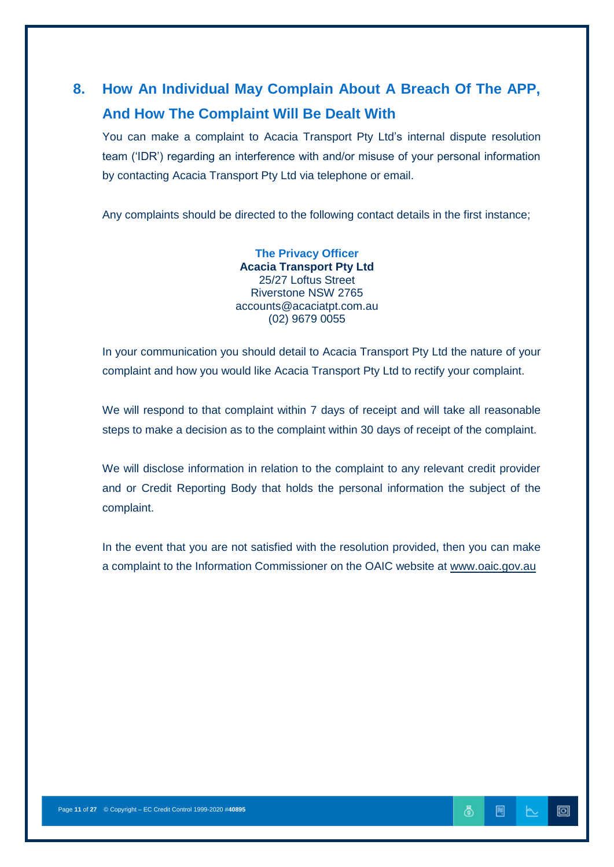# **8. How An Individual May Complain About A Breach Of The APP, And How The Complaint Will Be Dealt With**

You can make a complaint to Acacia Transport Pty Ltd's internal dispute resolution team ('IDR') regarding an interference with and/or misuse of your personal information by contacting Acacia Transport Pty Ltd via telephone or email.

Any complaints should be directed to the following contact details in the first instance;

**The Privacy Officer Acacia Transport Pty Ltd** 25/27 Loftus Street Riverstone NSW 2765 accounts@acaciatpt.com.au (02) 9679 0055

In your communication you should detail to Acacia Transport Pty Ltd the nature of your complaint and how you would like Acacia Transport Pty Ltd to rectify your complaint.

We will respond to that complaint within 7 days of receipt and will take all reasonable steps to make a decision as to the complaint within 30 days of receipt of the complaint.

We will disclose information in relation to the complaint to any relevant credit provider and or Credit Reporting Body that holds the personal information the subject of the complaint.

In the event that you are not satisfied with the resolution provided, then you can make a complaint to the Information Commissioner on the OAIC website at [www.oaic.gov.au](http://www.oaic.gov.au/)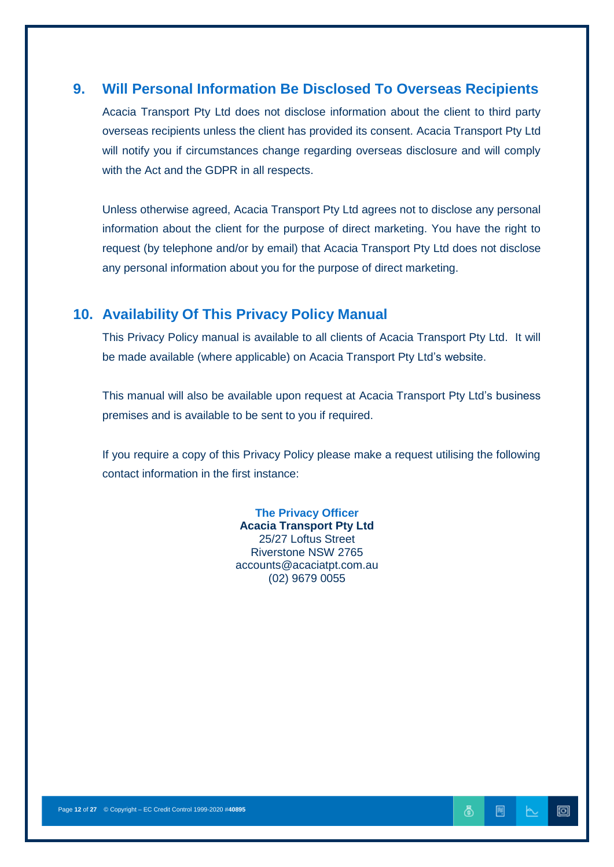# **9. Will Personal Information Be Disclosed To Overseas Recipients**

Acacia Transport Pty Ltd does not disclose information about the client to third party overseas recipients unless the client has provided its consent. Acacia Transport Pty Ltd will notify you if circumstances change regarding overseas disclosure and will comply with the Act and the GDPR in all respects.

Unless otherwise agreed, Acacia Transport Pty Ltd agrees not to disclose any personal information about the client for the purpose of direct marketing. You have the right to request (by telephone and/or by email) that Acacia Transport Pty Ltd does not disclose any personal information about you for the purpose of direct marketing.

# **10. Availability Of This Privacy Policy Manual**

This Privacy Policy manual is available to all clients of Acacia Transport Pty Ltd. It will be made available (where applicable) on Acacia Transport Pty Ltd's website.

This manual will also be available upon request at Acacia Transport Pty Ltd's business premises and is available to be sent to you if required.

If you require a copy of this Privacy Policy please make a request utilising the following contact information in the first instance:

> **The Privacy Officer Acacia Transport Pty Ltd** 25/27 Loftus Street Riverstone NSW 2765 accounts@acaciatpt.com.au (02) 9679 0055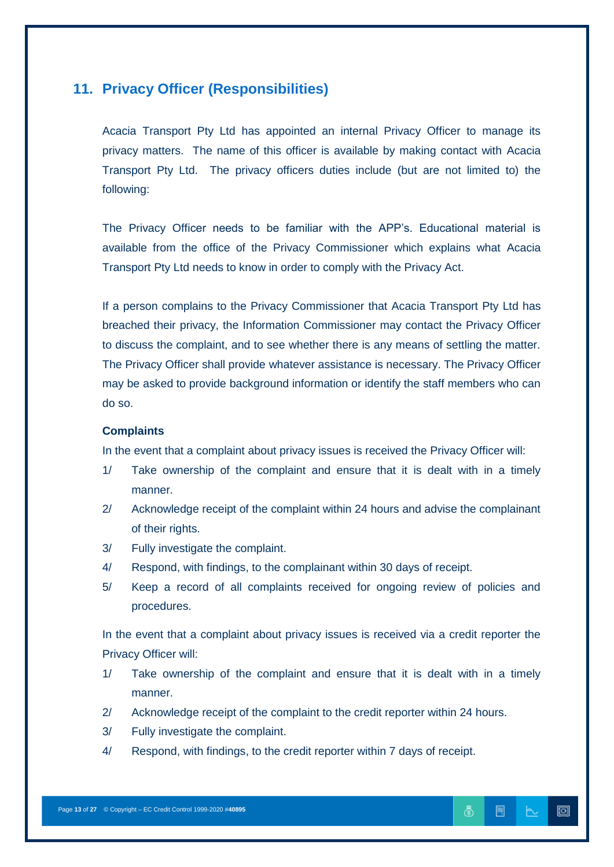# **11. Privacy Officer (Responsibilities)**

Acacia Transport Pty Ltd has appointed an internal Privacy Officer to manage its privacy matters. The name of this officer is available by making contact with Acacia Transport Pty Ltd. The privacy officers duties include (but are not limited to) the following:

The Privacy Officer needs to be familiar with the APP's. Educational material is available from the office of the Privacy Commissioner which explains what Acacia Transport Pty Ltd needs to know in order to comply with the Privacy Act.

If a person complains to the Privacy Commissioner that Acacia Transport Pty Ltd has breached their privacy, the Information Commissioner may contact the Privacy Officer to discuss the complaint, and to see whether there is any means of settling the matter. The Privacy Officer shall provide whatever assistance is necessary. The Privacy Officer may be asked to provide background information or identify the staff members who can do so.

#### **Complaints**

In the event that a complaint about privacy issues is received the Privacy Officer will:

- 1/ Take ownership of the complaint and ensure that it is dealt with in a timely manner.
- 2/ Acknowledge receipt of the complaint within 24 hours and advise the complainant of their rights.
- 3/ Fully investigate the complaint.
- 4/ Respond, with findings, to the complainant within 30 days of receipt.
- 5/ Keep a record of all complaints received for ongoing review of policies and procedures.

In the event that a complaint about privacy issues is received via a credit reporter the Privacy Officer will:

- 1/ Take ownership of the complaint and ensure that it is dealt with in a timely manner.
- 2/ Acknowledge receipt of the complaint to the credit reporter within 24 hours.
- 3/ Fully investigate the complaint.
- 4/ Respond, with findings, to the credit reporter within 7 days of receipt.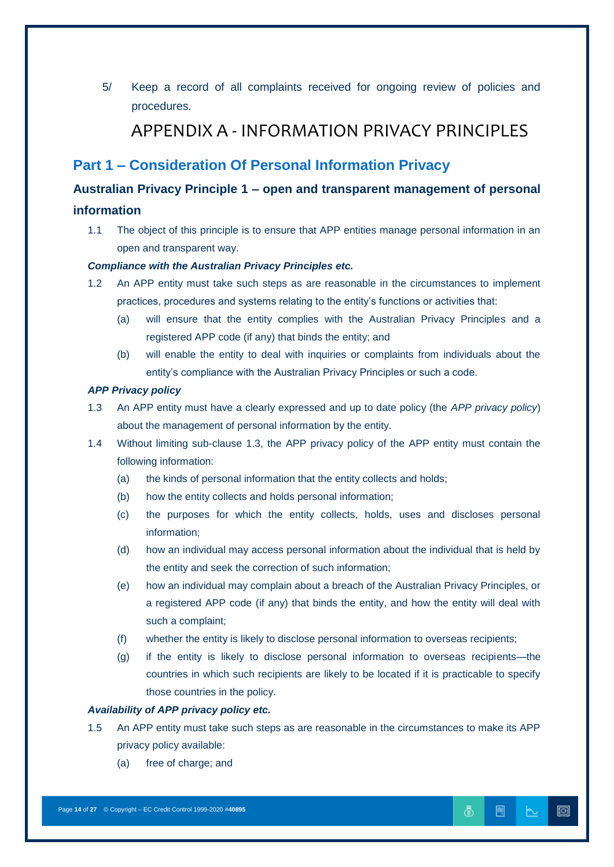5/ Keep a record of all complaints received for ongoing review of policies and procedures.

# APPENDIX A - INFORMATION PRIVACY PRINCIPLES

# **Part 1 – Consideration Of Personal Information Privacy**

# **Australian Privacy Principle 1 – open and transparent management of personal information**

1.1 The object of this principle is to ensure that APP entities manage personal information in an open and transparent way.

#### *Compliance with the Australian Privacy Principles etc.*

- 1.2 An APP entity must take such steps as are reasonable in the circumstances to implement practices, procedures and systems relating to the entity's functions or activities that:
	- (a) will ensure that the entity complies with the Australian Privacy Principles and a registered APP code (if any) that binds the entity; and
	- (b) will enable the entity to deal with inquiries or complaints from individuals about the entity's compliance with the Australian Privacy Principles or such a code.

#### *APP Privacy policy*

- 1.3 An APP entity must have a clearly expressed and up to date policy (the *APP privacy policy*) about the management of personal information by the entity.
- 1.4 Without limiting sub-clause 1.3, the APP privacy policy of the APP entity must contain the following information:
	- (a) the kinds of personal information that the entity collects and holds;
	- (b) how the entity collects and holds personal information;
	- (c) the purposes for which the entity collects, holds, uses and discloses personal information;
	- (d) how an individual may access personal information about the individual that is held by the entity and seek the correction of such information;
	- (e) how an individual may complain about a breach of the Australian Privacy Principles, or a registered APP code (if any) that binds the entity, and how the entity will deal with such a complaint;
	- (f) whether the entity is likely to disclose personal information to overseas recipients;
	- (g) if the entity is likely to disclose personal information to overseas recipients—the countries in which such recipients are likely to be located if it is practicable to specify those countries in the policy.

#### *Availability of APP privacy policy etc.*

- 1.5 An APP entity must take such steps as are reasonable in the circumstances to make its APP privacy policy available:
	- (a) free of charge; and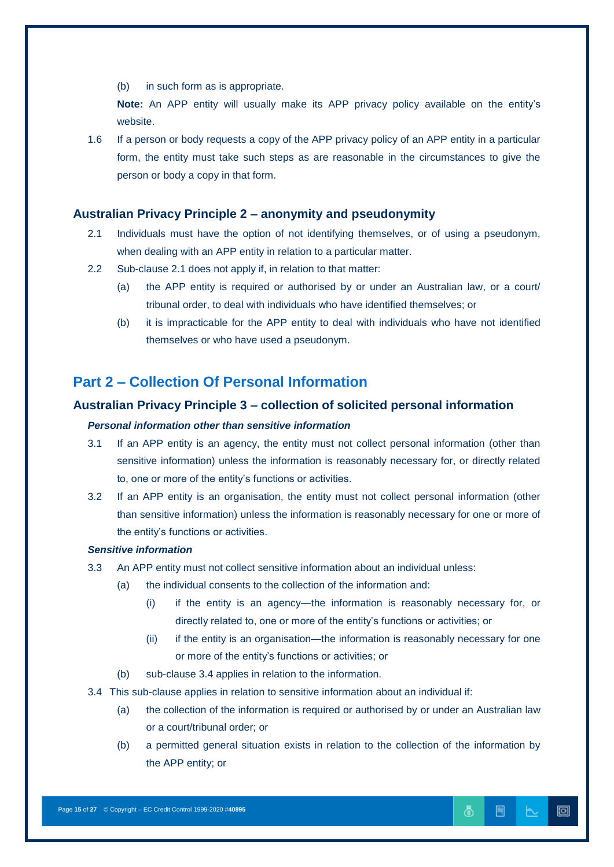(b) in such form as is appropriate.

**Note:** An APP entity will usually make its APP privacy policy available on the entity's website.

1.6 If a person or body requests a copy of the APP privacy policy of an APP entity in a particular form, the entity must take such steps as are reasonable in the circumstances to give the person or body a copy in that form.

#### **Australian Privacy Principle 2 – anonymity and pseudonymity**

- 2.1 Individuals must have the option of not identifying themselves, or of using a pseudonym, when dealing with an APP entity in relation to a particular matter.
- 2.2 Sub-clause 2.1 does not apply if, in relation to that matter:
	- (a) the APP entity is required or authorised by or under an Australian law, or a court/ tribunal order, to deal with individuals who have identified themselves; or
	- (b) it is impracticable for the APP entity to deal with individuals who have not identified themselves or who have used a pseudonym.

# **Part 2 – Collection Of Personal Information**

#### **Australian Privacy Principle 3 – collection of solicited personal information**

#### *Personal information other than sensitive information*

- 3.1 If an APP entity is an agency, the entity must not collect personal information (other than sensitive information) unless the information is reasonably necessary for, or directly related to, one or more of the entity's functions or activities.
- 3.2 If an APP entity is an organisation, the entity must not collect personal information (other than sensitive information) unless the information is reasonably necessary for one or more of the entity's functions or activities.

#### *Sensitive information*

- 3.3 An APP entity must not collect sensitive information about an individual unless:
	- (a) the individual consents to the collection of the information and:
		- (i) if the entity is an agency—the information is reasonably necessary for, or directly related to, one or more of the entity's functions or activities; or
		- (ii) if the entity is an organisation—the information is reasonably necessary for one or more of the entity's functions or activities; or
	- (b) sub-clause 3.4 applies in relation to the information.
- 3.4 This sub-clause applies in relation to sensitive information about an individual if:
	- (a) the collection of the information is required or authorised by or under an Australian law or a court/tribunal order; or
	- (b) a permitted general situation exists in relation to the collection of the information by the APP entity; or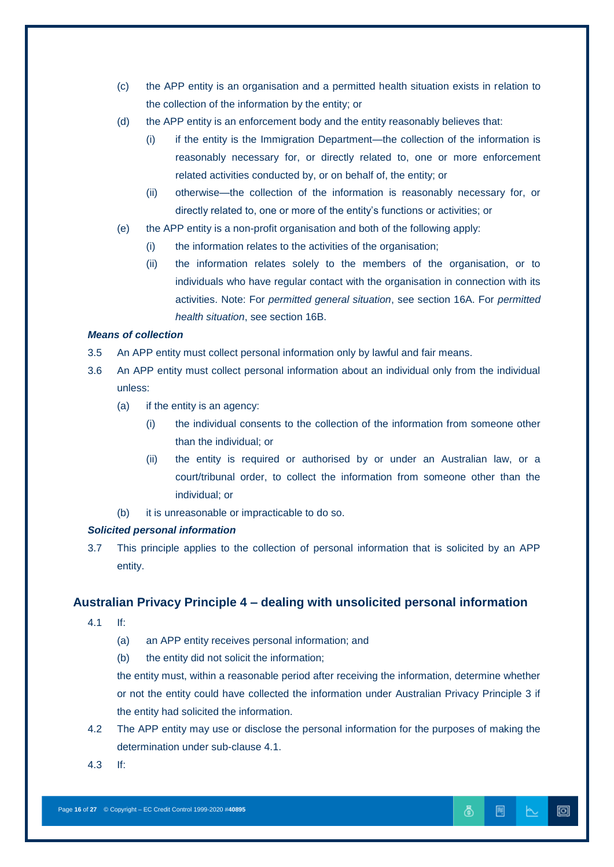- (c) the APP entity is an organisation and a permitted health situation exists in relation to the collection of the information by the entity; or
- (d) the APP entity is an enforcement body and the entity reasonably believes that:
	- (i) if the entity is the Immigration Department—the collection of the information is reasonably necessary for, or directly related to, one or more enforcement related activities conducted by, or on behalf of, the entity; or
	- (ii) otherwise—the collection of the information is reasonably necessary for, or directly related to, one or more of the entity's functions or activities; or
- (e) the APP entity is a non-profit organisation and both of the following apply:
	- (i) the information relates to the activities of the organisation;
	- (ii) the information relates solely to the members of the organisation, or to individuals who have regular contact with the organisation in connection with its activities. Note: For *permitted general situation*, see section 16A. For *permitted health situation*, see section 16B.

#### *Means of collection*

3.5 An APP entity must collect personal information only by lawful and fair means.

- 3.6 An APP entity must collect personal information about an individual only from the individual unless:
	- (a) if the entity is an agency:
		- (i) the individual consents to the collection of the information from someone other than the individual; or
		- (ii) the entity is required or authorised by or under an Australian law, or a court/tribunal order, to collect the information from someone other than the individual; or
	- (b) it is unreasonable or impracticable to do so.

#### *Solicited personal information*

3.7 This principle applies to the collection of personal information that is solicited by an APP entity.

#### **Australian Privacy Principle 4 – dealing with unsolicited personal information**

- 4.1 If:
	- (a) an APP entity receives personal information; and
	- (b) the entity did not solicit the information;

the entity must, within a reasonable period after receiving the information, determine whether or not the entity could have collected the information under Australian Privacy Principle 3 if the entity had solicited the information.

- 4.2 The APP entity may use or disclose the personal information for the purposes of making the determination under sub-clause 4.1.
- 4.3 If: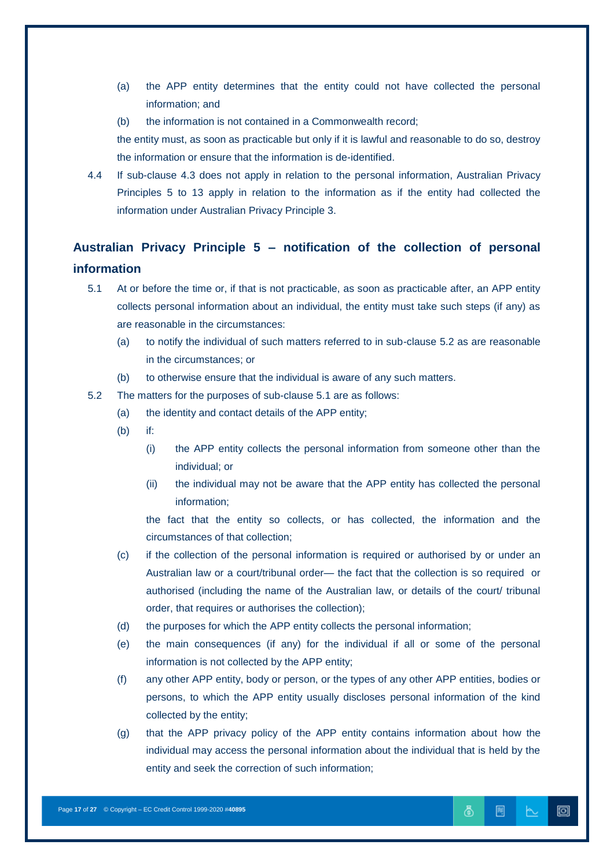- (a) the APP entity determines that the entity could not have collected the personal information; and
- (b) the information is not contained in a Commonwealth record;

the entity must, as soon as practicable but only if it is lawful and reasonable to do so, destroy the information or ensure that the information is de-identified.

4.4 If sub-clause 4.3 does not apply in relation to the personal information, Australian Privacy Principles 5 to 13 apply in relation to the information as if the entity had collected the information under Australian Privacy Principle 3.

# **Australian Privacy Principle 5 – notification of the collection of personal information**

- 5.1 At or before the time or, if that is not practicable, as soon as practicable after, an APP entity collects personal information about an individual, the entity must take such steps (if any) as are reasonable in the circumstances:
	- (a) to notify the individual of such matters referred to in sub-clause 5.2 as are reasonable in the circumstances; or
	- (b) to otherwise ensure that the individual is aware of any such matters.
- 5.2 The matters for the purposes of sub-clause 5.1 are as follows:
	- (a) the identity and contact details of the APP entity;
	- (b) if:
		- (i) the APP entity collects the personal information from someone other than the individual; or
		- (ii) the individual may not be aware that the APP entity has collected the personal information;

the fact that the entity so collects, or has collected, the information and the circumstances of that collection;

- (c) if the collection of the personal information is required or authorised by or under an Australian law or a court/tribunal order— the fact that the collection is so required or authorised (including the name of the Australian law, or details of the court/ tribunal order, that requires or authorises the collection);
- (d) the purposes for which the APP entity collects the personal information;
- (e) the main consequences (if any) for the individual if all or some of the personal information is not collected by the APP entity;
- (f) any other APP entity, body or person, or the types of any other APP entities, bodies or persons, to which the APP entity usually discloses personal information of the kind collected by the entity;
- (g) that the APP privacy policy of the APP entity contains information about how the individual may access the personal information about the individual that is held by the entity and seek the correction of such information;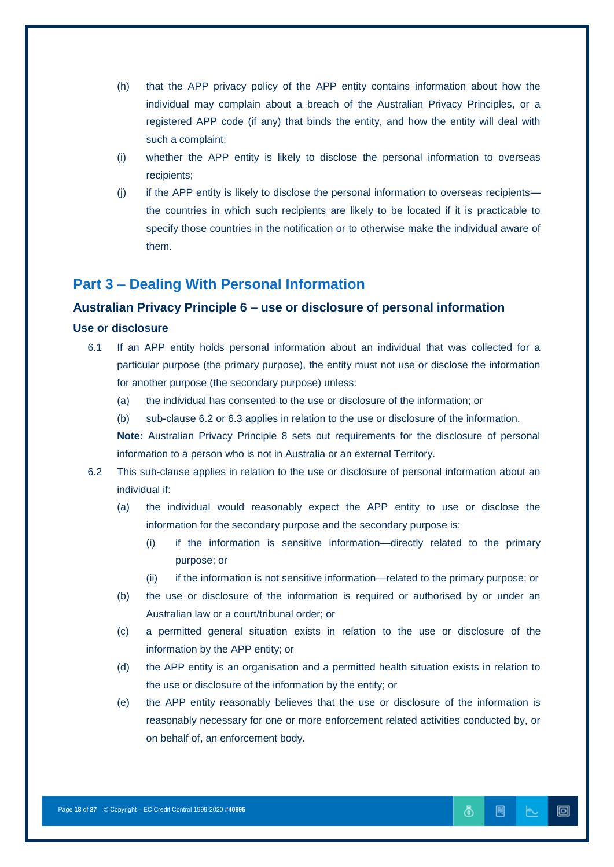- (h) that the APP privacy policy of the APP entity contains information about how the individual may complain about a breach of the Australian Privacy Principles, or a registered APP code (if any) that binds the entity, and how the entity will deal with such a complaint;
- (i) whether the APP entity is likely to disclose the personal information to overseas recipients;
- (i) if the APP entity is likely to disclose the personal information to overseas recipients the countries in which such recipients are likely to be located if it is practicable to specify those countries in the notification or to otherwise make the individual aware of them.

# **Part 3 – Dealing With Personal Information**

#### **Australian Privacy Principle 6 – use or disclosure of personal information**

#### **Use or disclosure**

- 6.1 If an APP entity holds personal information about an individual that was collected for a particular purpose (the primary purpose), the entity must not use or disclose the information for another purpose (the secondary purpose) unless:
	- (a) the individual has consented to the use or disclosure of the information; or
	- (b) sub-clause 6.2 or 6.3 applies in relation to the use or disclosure of the information.

**Note:** Australian Privacy Principle 8 sets out requirements for the disclosure of personal information to a person who is not in Australia or an external Territory.

- 6.2 This sub-clause applies in relation to the use or disclosure of personal information about an individual if:
	- (a) the individual would reasonably expect the APP entity to use or disclose the information for the secondary purpose and the secondary purpose is:
		- (i) if the information is sensitive information—directly related to the primary purpose; or
		- (ii) if the information is not sensitive information—related to the primary purpose; or
	- (b) the use or disclosure of the information is required or authorised by or under an Australian law or a court/tribunal order; or
	- (c) a permitted general situation exists in relation to the use or disclosure of the information by the APP entity; or
	- (d) the APP entity is an organisation and a permitted health situation exists in relation to the use or disclosure of the information by the entity; or
	- (e) the APP entity reasonably believes that the use or disclosure of the information is reasonably necessary for one or more enforcement related activities conducted by, or on behalf of, an enforcement body.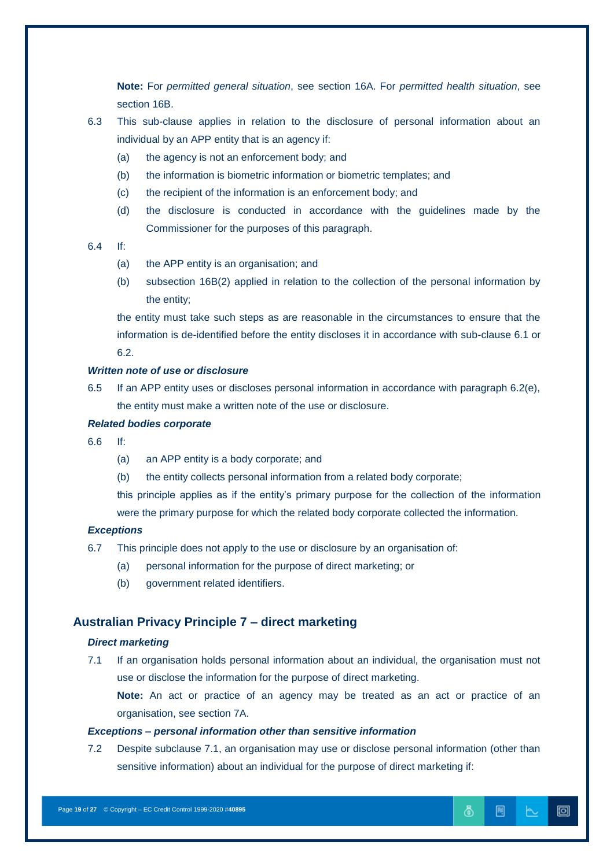**Note:** For *permitted general situation*, see section 16A. For *permitted health situation*, see section 16B.

- 6.3 This sub-clause applies in relation to the disclosure of personal information about an individual by an APP entity that is an agency if:
	- (a) the agency is not an enforcement body; and
	- (b) the information is biometric information or biometric templates; and
	- (c) the recipient of the information is an enforcement body; and
	- (d) the disclosure is conducted in accordance with the guidelines made by the Commissioner for the purposes of this paragraph.

6.4 If:

- (a) the APP entity is an organisation; and
- (b) subsection 16B(2) applied in relation to the collection of the personal information by the entity;

the entity must take such steps as are reasonable in the circumstances to ensure that the information is de-identified before the entity discloses it in accordance with sub-clause 6.1 or 6.2.

#### *Written note of use or disclosure*

6.5 If an APP entity uses or discloses personal information in accordance with paragraph 6.2(e), the entity must make a written note of the use or disclosure.

#### *Related bodies corporate*

- 6.6 If:
	- (a) an APP entity is a body corporate; and
	- (b) the entity collects personal information from a related body corporate;

this principle applies as if the entity's primary purpose for the collection of the information were the primary purpose for which the related body corporate collected the information.

#### *Exceptions*

- 6.7 This principle does not apply to the use or disclosure by an organisation of:
	- (a) personal information for the purpose of direct marketing; or
	- (b) government related identifiers.

#### **Australian Privacy Principle 7 – direct marketing**

#### *Direct marketing*

7.1 If an organisation holds personal information about an individual, the organisation must not use or disclose the information for the purpose of direct marketing.

**Note:** An act or practice of an agency may be treated as an act or practice of an organisation, see section 7A.

#### *Exceptions – personal information other than sensitive information*

7.2 Despite subclause 7.1, an organisation may use or disclose personal information (other than sensitive information) about an individual for the purpose of direct marketing if: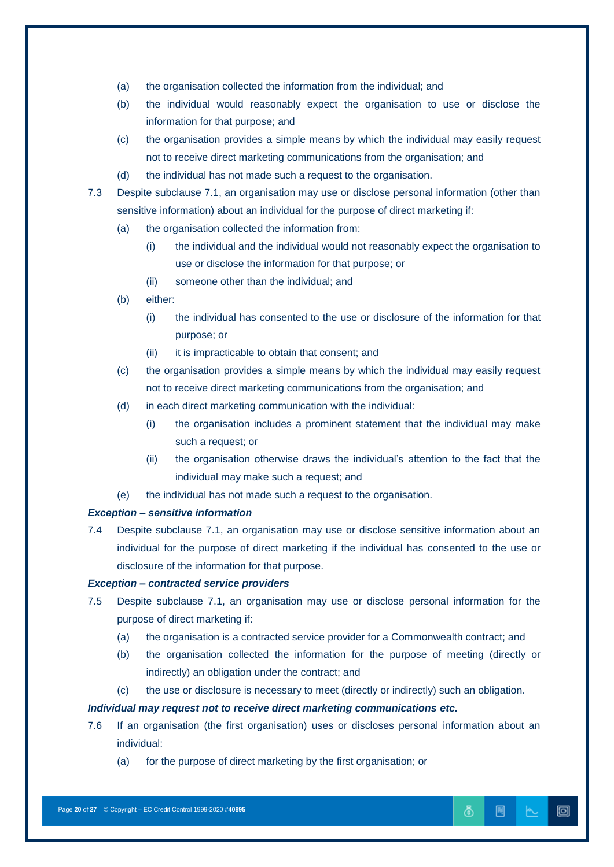- (a) the organisation collected the information from the individual; and
- (b) the individual would reasonably expect the organisation to use or disclose the information for that purpose; and
- (c) the organisation provides a simple means by which the individual may easily request not to receive direct marketing communications from the organisation; and
- (d) the individual has not made such a request to the organisation.
- 7.3 Despite subclause 7.1, an organisation may use or disclose personal information (other than sensitive information) about an individual for the purpose of direct marketing if:
	- (a) the organisation collected the information from:
		- (i) the individual and the individual would not reasonably expect the organisation to use or disclose the information for that purpose; or
		- (ii) someone other than the individual; and
	- (b) either:
		- (i) the individual has consented to the use or disclosure of the information for that purpose; or
		- (ii) it is impracticable to obtain that consent; and
	- (c) the organisation provides a simple means by which the individual may easily request not to receive direct marketing communications from the organisation; and
	- (d) in each direct marketing communication with the individual:
		- (i) the organisation includes a prominent statement that the individual may make such a request; or
		- (ii) the organisation otherwise draws the individual's attention to the fact that the individual may make such a request; and
	- (e) the individual has not made such a request to the organisation.

#### *Exception – sensitive information*

7.4 Despite subclause 7.1, an organisation may use or disclose sensitive information about an individual for the purpose of direct marketing if the individual has consented to the use or disclosure of the information for that purpose.

#### *Exception – contracted service providers*

- 7.5 Despite subclause 7.1, an organisation may use or disclose personal information for the purpose of direct marketing if:
	- (a) the organisation is a contracted service provider for a Commonwealth contract; and
	- (b) the organisation collected the information for the purpose of meeting (directly or indirectly) an obligation under the contract; and
	- (c) the use or disclosure is necessary to meet (directly or indirectly) such an obligation.

#### *Individual may request not to receive direct marketing communications etc.*

- 7.6 If an organisation (the first organisation) uses or discloses personal information about an individual:
	- (a) for the purpose of direct marketing by the first organisation; or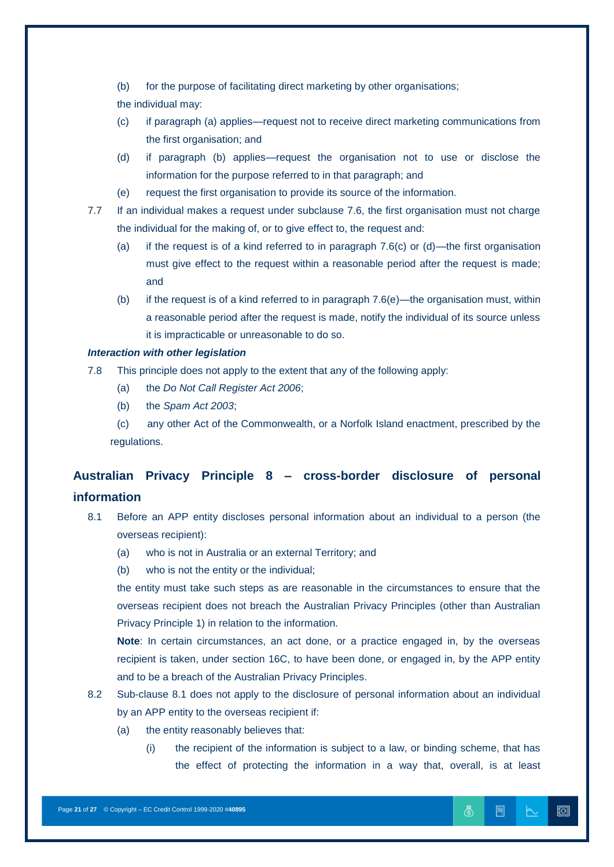(b) for the purpose of facilitating direct marketing by other organisations;

the individual may:

- (c) if paragraph (a) applies—request not to receive direct marketing communications from the first organisation; and
- (d) if paragraph (b) applies—request the organisation not to use or disclose the information for the purpose referred to in that paragraph; and
- (e) request the first organisation to provide its source of the information.
- 7.7 If an individual makes a request under subclause 7.6, the first organisation must not charge the individual for the making of, or to give effect to, the request and:
	- (a) if the request is of a kind referred to in paragraph 7.6(c) or  $(d)$ —the first organisation must give effect to the request within a reasonable period after the request is made; and
	- (b) if the request is of a kind referred to in paragraph  $7.6(e)$ —the organisation must, within a reasonable period after the request is made, notify the individual of its source unless it is impracticable or unreasonable to do so.

#### *Interaction with other legislation*

- 7.8 This principle does not apply to the extent that any of the following apply:
	- (a) the *Do Not Call Register Act 2006*;
	- (b) the *Spam Act 2003*;

(c) any other Act of the Commonwealth, or a Norfolk Island enactment, prescribed by the regulations.

# **Australian Privacy Principle 8 – cross-border disclosure of personal information**

- 8.1 Before an APP entity discloses personal information about an individual to a person (the overseas recipient):
	- (a) who is not in Australia or an external Territory; and
	- (b) who is not the entity or the individual;

the entity must take such steps as are reasonable in the circumstances to ensure that the overseas recipient does not breach the Australian Privacy Principles (other than Australian Privacy Principle 1) in relation to the information.

**Note**: In certain circumstances, an act done, or a practice engaged in, by the overseas recipient is taken, under section 16C, to have been done, or engaged in, by the APP entity and to be a breach of the Australian Privacy Principles.

- 8.2 Sub-clause 8.1 does not apply to the disclosure of personal information about an individual by an APP entity to the overseas recipient if:
	- (a) the entity reasonably believes that:
		- (i) the recipient of the information is subject to a law, or binding scheme, that has the effect of protecting the information in a way that, overall, is at least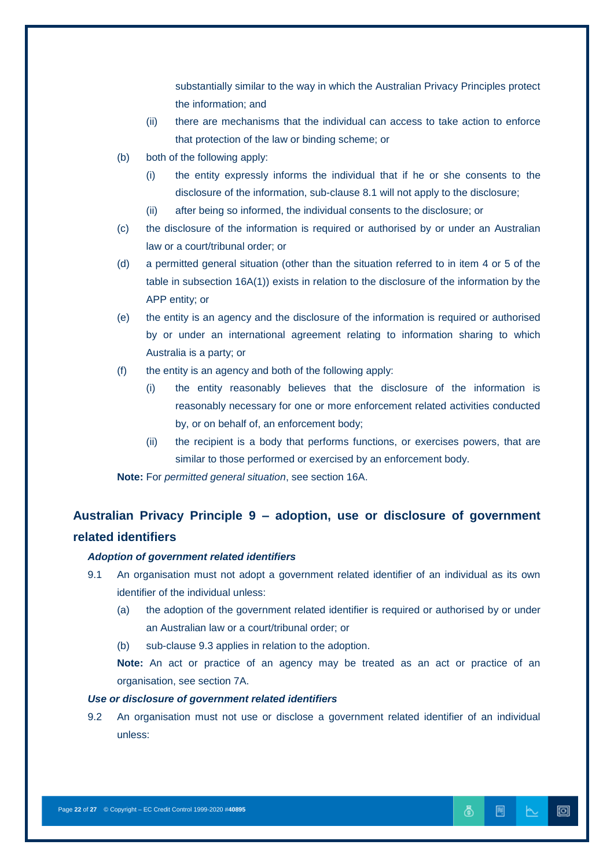substantially similar to the way in which the Australian Privacy Principles protect the information; and

- (ii) there are mechanisms that the individual can access to take action to enforce that protection of the law or binding scheme; or
- (b) both of the following apply:
	- (i) the entity expressly informs the individual that if he or she consents to the disclosure of the information, sub-clause 8.1 will not apply to the disclosure;
	- (ii) after being so informed, the individual consents to the disclosure; or
- (c) the disclosure of the information is required or authorised by or under an Australian law or a court/tribunal order; or
- (d) a permitted general situation (other than the situation referred to in item 4 or 5 of the table in subsection 16A(1)) exists in relation to the disclosure of the information by the APP entity; or
- (e) the entity is an agency and the disclosure of the information is required or authorised by or under an international agreement relating to information sharing to which Australia is a party; or
- (f) the entity is an agency and both of the following apply:
	- (i) the entity reasonably believes that the disclosure of the information is reasonably necessary for one or more enforcement related activities conducted by, or on behalf of, an enforcement body;
	- (ii) the recipient is a body that performs functions, or exercises powers, that are similar to those performed or exercised by an enforcement body.

**Note:** For *permitted general situation*, see section 16A.

# **Australian Privacy Principle 9 – adoption, use or disclosure of government related identifiers**

#### *Adoption of government related identifiers*

- 9.1 An organisation must not adopt a government related identifier of an individual as its own identifier of the individual unless:
	- (a) the adoption of the government related identifier is required or authorised by or under an Australian law or a court/tribunal order; or
	- (b) sub-clause 9.3 applies in relation to the adoption.

**Note:** An act or practice of an agency may be treated as an act or practice of an organisation, see section 7A.

#### *Use or disclosure of government related identifiers*

9.2 An organisation must not use or disclose a government related identifier of an individual unless: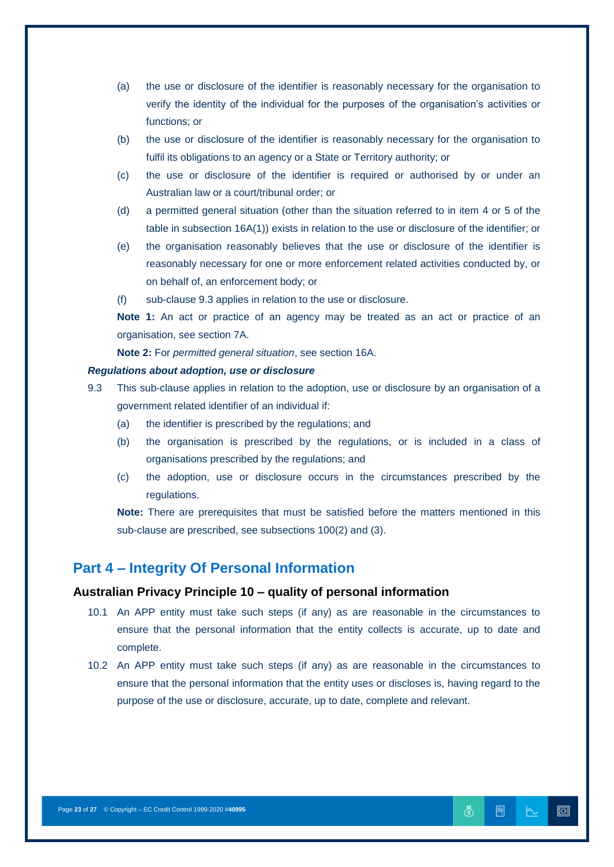- (a) the use or disclosure of the identifier is reasonably necessary for the organisation to verify the identity of the individual for the purposes of the organisation's activities or functions; or
- (b) the use or disclosure of the identifier is reasonably necessary for the organisation to fulfil its obligations to an agency or a State or Territory authority; or
- (c) the use or disclosure of the identifier is required or authorised by or under an Australian law or a court/tribunal order; or
- (d) a permitted general situation (other than the situation referred to in item 4 or 5 of the table in subsection 16A(1)) exists in relation to the use or disclosure of the identifier; or
- (e) the organisation reasonably believes that the use or disclosure of the identifier is reasonably necessary for one or more enforcement related activities conducted by, or on behalf of, an enforcement body; or
- (f) sub-clause 9.3 applies in relation to the use or disclosure.

**Note 1:** An act or practice of an agency may be treated as an act or practice of an organisation, see section 7A.

**Note 2:** For *permitted general situation*, see section 16A.

#### *Regulations about adoption, use or disclosure*

- 9.3 This sub-clause applies in relation to the adoption, use or disclosure by an organisation of a government related identifier of an individual if:
	- (a) the identifier is prescribed by the regulations; and
	- (b) the organisation is prescribed by the regulations, or is included in a class of organisations prescribed by the regulations; and
	- (c) the adoption, use or disclosure occurs in the circumstances prescribed by the regulations.

**Note:** There are prerequisites that must be satisfied before the matters mentioned in this sub-clause are prescribed, see subsections 100(2) and (3).

## **Part 4 – Integrity Of Personal Information**

#### **Australian Privacy Principle 10 – quality of personal information**

- 10.1 An APP entity must take such steps (if any) as are reasonable in the circumstances to ensure that the personal information that the entity collects is accurate, up to date and complete.
- 10.2 An APP entity must take such steps (if any) as are reasonable in the circumstances to ensure that the personal information that the entity uses or discloses is, having regard to the purpose of the use or disclosure, accurate, up to date, complete and relevant.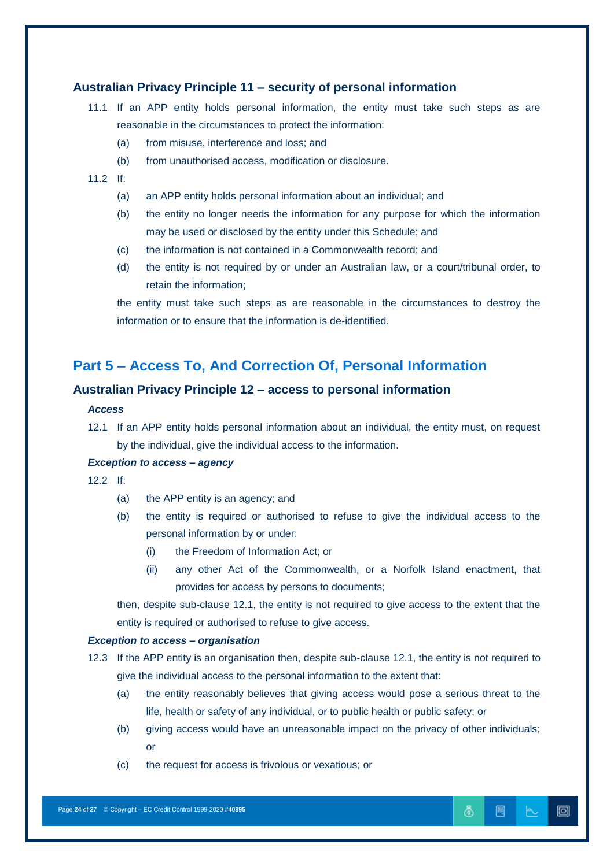#### **Australian Privacy Principle 11 – security of personal information**

- 11.1 If an APP entity holds personal information, the entity must take such steps as are reasonable in the circumstances to protect the information:
	- (a) from misuse, interference and loss; and
	- (b) from unauthorised access, modification or disclosure.
- 11.2 If:
	- (a) an APP entity holds personal information about an individual; and
	- (b) the entity no longer needs the information for any purpose for which the information may be used or disclosed by the entity under this Schedule; and
	- (c) the information is not contained in a Commonwealth record; and
	- (d) the entity is not required by or under an Australian law, or a court/tribunal order, to retain the information;

the entity must take such steps as are reasonable in the circumstances to destroy the information or to ensure that the information is de-identified.

## **Part 5 – Access To, And Correction Of, Personal Information**

#### **Australian Privacy Principle 12 – access to personal information**

#### *Access*

12.1 If an APP entity holds personal information about an individual, the entity must, on request by the individual, give the individual access to the information.

#### *Exception to access – agency*

- 12.2 If:
	- (a) the APP entity is an agency; and
	- (b) the entity is required or authorised to refuse to give the individual access to the personal information by or under:
		- (i) the Freedom of Information Act; or
		- (ii) any other Act of the Commonwealth, or a Norfolk Island enactment, that provides for access by persons to documents;

then, despite sub-clause 12.1, the entity is not required to give access to the extent that the entity is required or authorised to refuse to give access.

#### *Exception to access – organisation*

- 12.3 If the APP entity is an organisation then, despite sub-clause 12.1, the entity is not required to give the individual access to the personal information to the extent that:
	- (a) the entity reasonably believes that giving access would pose a serious threat to the life, health or safety of any individual, or to public health or public safety; or
	- (b) giving access would have an unreasonable impact on the privacy of other individuals; or
	- (c) the request for access is frivolous or vexatious; or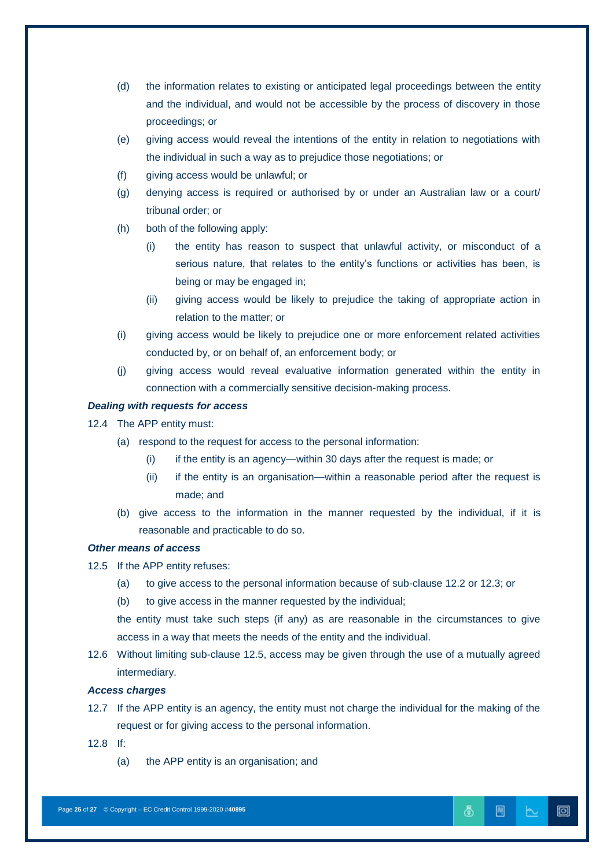- (d) the information relates to existing or anticipated legal proceedings between the entity and the individual, and would not be accessible by the process of discovery in those proceedings; or
- (e) giving access would reveal the intentions of the entity in relation to negotiations with the individual in such a way as to prejudice those negotiations; or
- (f) giving access would be unlawful; or
- (g) denying access is required or authorised by or under an Australian law or a court/ tribunal order; or
- (h) both of the following apply:
	- (i) the entity has reason to suspect that unlawful activity, or misconduct of a serious nature, that relates to the entity's functions or activities has been, is being or may be engaged in;
	- (ii) giving access would be likely to prejudice the taking of appropriate action in relation to the matter; or
- (i) giving access would be likely to prejudice one or more enforcement related activities conducted by, or on behalf of, an enforcement body; or
- (j) giving access would reveal evaluative information generated within the entity in connection with a commercially sensitive decision-making process.

#### *Dealing with requests for access*

- 12.4 The APP entity must:
	- (a) respond to the request for access to the personal information:
		- (i) if the entity is an agency—within 30 days after the request is made; or
		- (ii) if the entity is an organisation—within a reasonable period after the request is made; and
	- (b) give access to the information in the manner requested by the individual, if it is reasonable and practicable to do so.

#### *Other means of access*

- 12.5 If the APP entity refuses:
	- (a) to give access to the personal information because of sub-clause 12.2 or 12.3; or
	- (b) to give access in the manner requested by the individual;

the entity must take such steps (if any) as are reasonable in the circumstances to give access in a way that meets the needs of the entity and the individual.

12.6 Without limiting sub-clause 12.5, access may be given through the use of a mutually agreed intermediary.

#### *Access charges*

- 12.7 If the APP entity is an agency, the entity must not charge the individual for the making of the request or for giving access to the personal information.
- 12.8 If:
	- (a) the APP entity is an organisation; and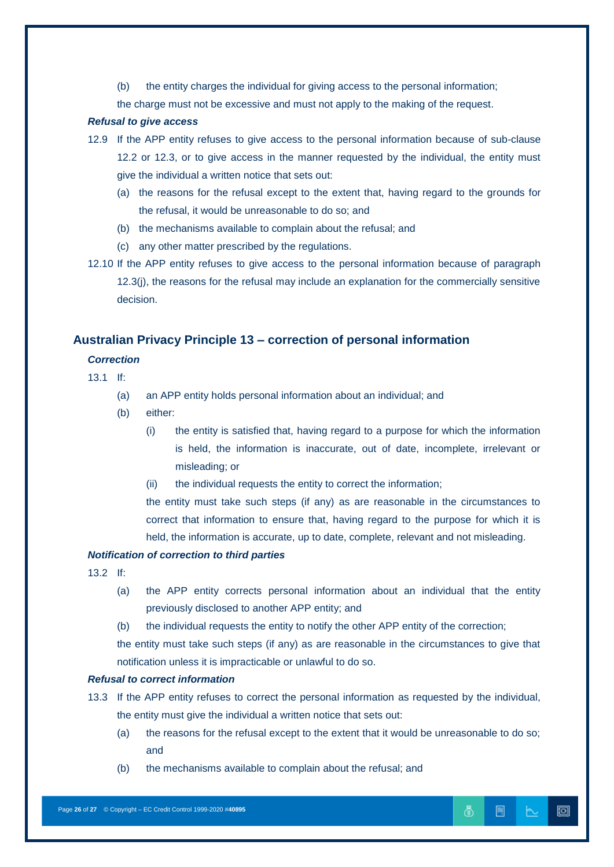(b) the entity charges the individual for giving access to the personal information; the charge must not be excessive and must not apply to the making of the request.

#### *Refusal to give access*

- 12.9 If the APP entity refuses to give access to the personal information because of sub-clause 12.2 or 12.3, or to give access in the manner requested by the individual, the entity must give the individual a written notice that sets out:
	- (a) the reasons for the refusal except to the extent that, having regard to the grounds for the refusal, it would be unreasonable to do so; and
	- (b) the mechanisms available to complain about the refusal; and
	- (c) any other matter prescribed by the regulations.
- 12.10 If the APP entity refuses to give access to the personal information because of paragraph 12.3(j), the reasons for the refusal may include an explanation for the commercially sensitive decision.

#### **Australian Privacy Principle 13 – correction of personal information**

## *Correction*

- 13.1 If:
	- (a) an APP entity holds personal information about an individual; and
	- (b) either:
		- (i) the entity is satisfied that, having regard to a purpose for which the information is held, the information is inaccurate, out of date, incomplete, irrelevant or misleading; or
		- (ii) the individual requests the entity to correct the information;

the entity must take such steps (if any) as are reasonable in the circumstances to correct that information to ensure that, having regard to the purpose for which it is held, the information is accurate, up to date, complete, relevant and not misleading.

#### *Notification of correction to third parties*

- 13.2 If:
	- (a) the APP entity corrects personal information about an individual that the entity previously disclosed to another APP entity; and
	- (b) the individual requests the entity to notify the other APP entity of the correction;

the entity must take such steps (if any) as are reasonable in the circumstances to give that notification unless it is impracticable or unlawful to do so.

#### *Refusal to correct information*

- 13.3 If the APP entity refuses to correct the personal information as requested by the individual, the entity must give the individual a written notice that sets out:
	- (a) the reasons for the refusal except to the extent that it would be unreasonable to do so; and
	- (b) the mechanisms available to complain about the refusal; and